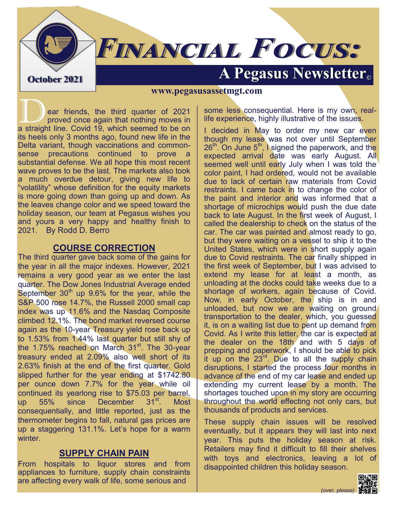# **FINANCIAL FOCUS: A Pegasus Newsletter Container 2021**

#### **www.pegasusassetmgt.com**

ear friends, the third quarter of 2021<br>proved once again that nothing moves in<br>a straight line Covid 19 which seemed to be on proved once again that nothing moves in a straight line. Covid 19, which seemed to be on its heels only 3 months ago, found new life in the Delta variant, though vaccinations and commonsense precautions continued to prove a substantial defense. We all hope this most recent wave proves to be the last. The markets also took a much overdue detour, giving new life to "volatility" whose definition for the equity markets is more going down than going up and down. As the leaves change color and we speed toward the holiday season, our team at Pegasus wishes you and yours a very happy and healthy finish to 2021. By Rodd D. Berro

#### **COURSE CORRECTION**

The third quarter gave back some of the gains for the year in all the major indexes. However, 2021 remains a very good year as we enter the last quarter. The Dow Jones Industrial Average ended September  $30<sup>th</sup>$  up  $9.6%$  for the year, while the S&P 500 rose 14.7%, the Russell 2000 small cap index was up 11.6% and the Nasdaq Composite climbed 12.1%. The bond market reversed course again as the 10-year Treasury yield rose back up to 1.53% from 1.44% last quarter but still shy of the 1.75% reached on March 31<sup>st</sup>. The 30-year treasury ended at 2.09% also well short of its 2.63% finish at the end of the first quarter. Gold slipped further for the year ending at \$1742.80 per ounce down 7.7% for the year while oil continued its yearlong rise to \$75.03 per barrel, up 55% since December 31<sup>st</sup>. Most consequentially, and little reported, just as the thermometer begins to fall, natural gas prices are up a staggering 131.1%. Let's hope for a warm winter.

### **SUPPLY CHAIN PAIN**

From hospitals to liquor stores and from appliances to furniture, supply chain constraints are affecting every walk of life, some serious and

some less consequential. Here is my own, reallife experience, highly illustrative of the issues.

I decided in May to order my new car even though my lease was not over until September  $26<sup>th</sup>$ . On June  $5<sup>th</sup>$ , I signed the paperwork, and the expected arrival date was early August. All seemed well until early July when I was told the color paint, I had ordered, would not be available due to lack of certain raw materials from Covid restraints. I came back in to change the color of the paint and interior and was informed that a shortage of microchips would push the due date back to late August. In the first week of August, I called the dealership to check on the status of the car. The car was painted and almost ready to go, but they were waiting on a vessel to ship it to the United States, which were in short supply again due to Covid restraints. The car finally shipped in the first week of September, but I was advised to extend my lease for at least a month, as unloading at the docks could take weeks due to a shortage of workers, again because of Covid. Now, in early October, the ship is in and unloaded, but now we are waiting on ground transportation to the dealer, which, you guessed it, is on a waiting list due to pent up demand from Covid. As I write this letter, the car is expected at the dealer on the 18th and with 5 days of prepping and paperwork, I should be able to pick it up on the 23rd. Due to all the supply chain disruptions, I started the process four months in advance of the end of my car lease and ended up extending my current lease by a month. The shortages touched upon in my story are occurring throughout the world effecting not only cars, but thousands of products and services.

These supply chain issues will be resolved eventually, but it appears they will last into next year. This puts the holiday season at risk. Retailers may find it difficult to fill their shelves with toys and electronics, leaving a lot of disappointed children this holiday season.